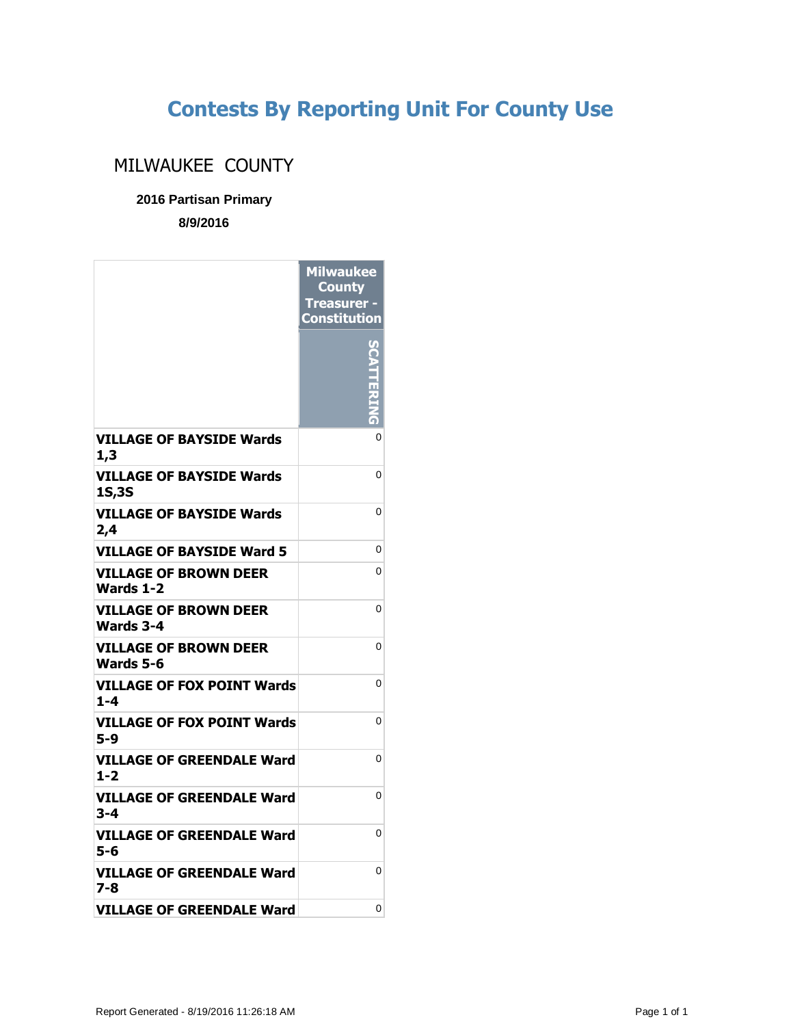## **Contests By Reporting Unit For County Use**

## MILWAUKEE COUNTY

**2016 Partisan Primary**

**8/9/2016**

|                                                  | <b>Milwaukee</b><br><b>County</b><br><b>Treasurer -</b><br>Constitution |
|--------------------------------------------------|-------------------------------------------------------------------------|
|                                                  | $\frac{1}{2}$                                                           |
| <b>VILLAGE OF BAYSIDE Wards</b><br>1,3           | 0                                                                       |
| <b>VILLAGE OF BAYSIDE Wards</b><br>1S,3S         | 0                                                                       |
| <b>VILLAGE OF BAYSIDE Wards</b><br>2,4           | 0                                                                       |
| <b>VILLAGE OF BAYSIDE Ward 5</b>                 | 0                                                                       |
| <b>VILLAGE OF BROWN DEER</b><br><b>Wards 1-2</b> | 0                                                                       |
| <b>VILLAGE OF BROWN DEER</b><br>Wards 3-4        | 0                                                                       |
| VILLAGE OF BROWN DEER<br>Wards 5-6               | 0                                                                       |
| VILLAGE OF FOX POINT Wards<br>$1 - 4$            | 0                                                                       |
| <b>VILLAGE OF FOX POINT Wards</b><br>5-9         | 0                                                                       |
| VILLAGE OF GREENDALE Ward<br>$1 - 2$             | 0                                                                       |
| VILLAGE OF GREENDALE Ward<br>3-4                 | 0                                                                       |
| VILLAGE OF GREENDALE Ward<br>5-6                 | 0                                                                       |
| VILLAGE OF GREENDALE Ward<br>7-8                 | $\Omega$                                                                |
| <b>VILLAGE OF GREENDALE Ward</b>                 | $\Omega$                                                                |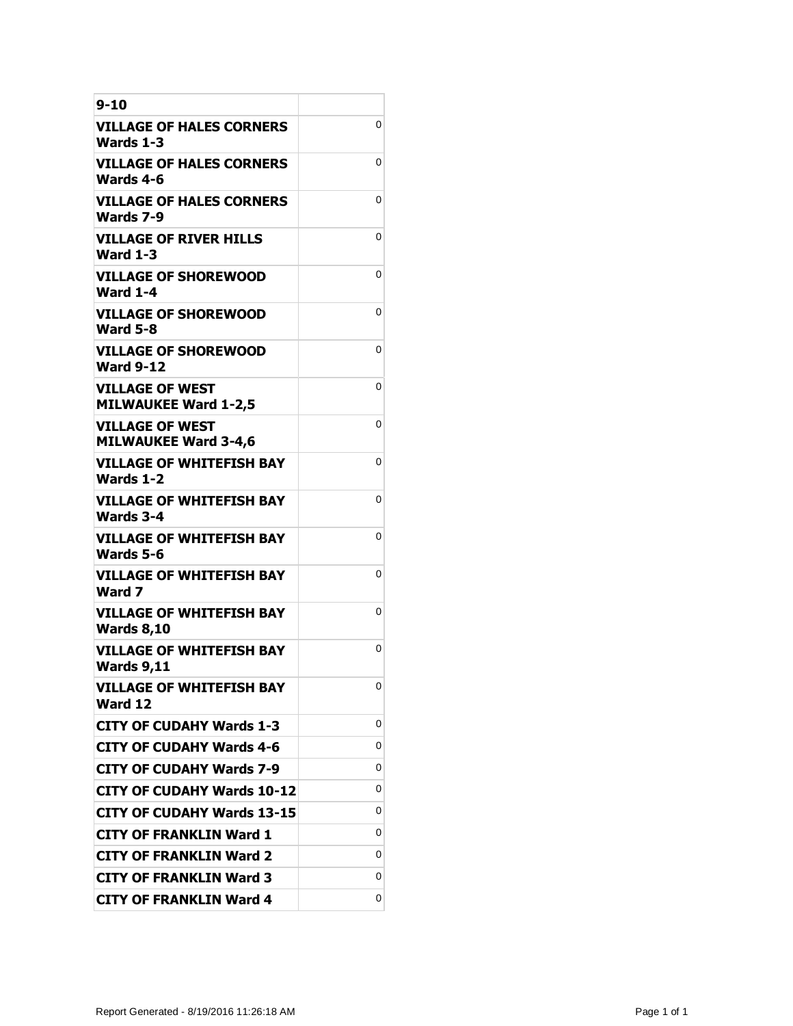| 9-10                                                  |   |
|-------------------------------------------------------|---|
| VILLAGE OF HALES CORNERS<br>Wards 1-3                 | 0 |
| <b>VILLAGE OF HALES CORNERS</b><br>Wards 4-6          | 0 |
| <b>VILLAGE OF HALES CORNERS</b><br>Wards 7-9          | 0 |
| <b>VILLAGE OF RIVER HILLS</b><br><b>Ward 1-3</b>      | 0 |
| <b>VILLAGE OF SHOREWOOD</b><br><b>Ward 1-4</b>        | 0 |
| <b>VILLAGE OF SHOREWOOD</b><br><b>Ward 5-8</b>        | 0 |
| <b>VILLAGE OF SHOREWOOD</b><br><b>Ward 9-12</b>       | 0 |
| VILLAGE OF WEST<br><b>MILWAUKEE Ward 1-2,5</b>        | 0 |
| <b>VILLAGE OF WEST</b><br><b>MILWAUKEE Ward 3-4,6</b> | 0 |
| <b>VILLAGE OF WHITEFISH BAY</b><br><b>Wards 1-2</b>   | 0 |
| VILLAGE OF WHITEFISH BAY<br>Wards 3-4                 | 0 |
| VILLAGE OF WHITEFISH BAY<br>Wards 5-6                 | 0 |
| VILLAGE OF WHITEFISH BAY<br>Ward 7                    | 0 |
| <b>VILLAGE OF WHITEFISH BAY</b><br><b>Wards 8,10</b>  | 0 |
| <b>VILLAGE OF WHITEFISH BAY</b><br><b>Wards 9,11</b>  | 0 |
| <b>VILLAGE OF WHITEFISH BAY</b><br>Ward 12            | 0 |
| <b>CITY OF CUDAHY Wards 1-3</b>                       | 0 |
| <b>CITY OF CUDAHY Wards 4-6</b>                       | 0 |
| <b>CITY OF CUDAHY Wards 7-9</b>                       | 0 |
| <b>CITY OF CUDAHY Wards 10-12</b>                     | 0 |
| <b>CITY OF CUDAHY Wards 13-15</b>                     | 0 |
| CITY OF FRANKLIN Ward 1                               | 0 |
| <b>CITY OF FRANKLIN Ward 2</b>                        | 0 |
| <b>CITY OF FRANKLIN Ward 3</b>                        | 0 |
| <b>CITY OF FRANKLIN Ward 4</b>                        | 0 |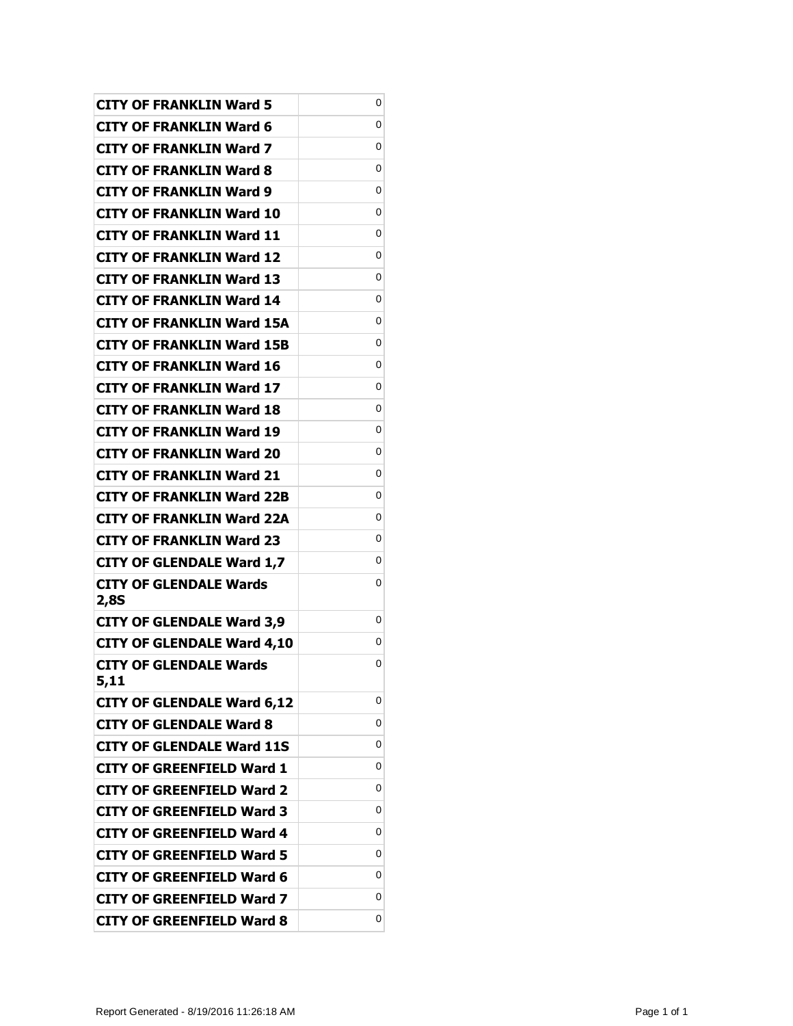| <b>CITY OF FRANKLIN Ward 5</b>        | 0 |
|---------------------------------------|---|
| CITY OF FRANKLIN Ward 6               | 0 |
| CITY OF FRANKLIN Ward 7               | 0 |
| <b>CITY OF FRANKLIN Ward 8</b>        | 0 |
| <b>CITY OF FRANKLIN Ward 9</b>        | 0 |
| CITY OF FRANKLIN Ward 10              | 0 |
| CITY OF FRANKLIN Ward 11              | 0 |
| CITY OF FRANKLIN Ward 12              | 0 |
| <b>CITY OF FRANKLIN Ward 13</b>       | 0 |
| CITY OF FRANKLIN Ward 14              | 0 |
| CITY OF FRANKLIN Ward 15A             | 0 |
| <b>CITY OF FRANKLIN Ward 15B</b>      | 0 |
| CITY OF FRANKLIN Ward 16              | 0 |
| <b>CITY OF FRANKLIN Ward 17</b>       | 0 |
| CITY OF FRANKLIN Ward 18              | 0 |
| CITY OF FRANKLIN Ward 19              | 0 |
| <b>CITY OF FRANKLIN Ward 20</b>       | 0 |
| CITY OF FRANKLIN Ward 21              | 0 |
| <b>CITY OF FRANKLIN Ward 22B</b>      | 0 |
| CITY OF FRANKLIN Ward 22A             | 0 |
| <b>CITY OF FRANKLIN Ward 23</b>       | 0 |
| <b>CITY OF GLENDALE Ward 1,7</b>      | 0 |
| CITY OF GLENDALE Wards                | 0 |
| 2,8S                                  | 0 |
| <b>CITY OF GLENDALE Ward 3,9</b>      | 0 |
| <b>CITY OF GLENDALE Ward 4,10</b>     | 0 |
| <b>CITY OF GLENDALE Wards</b><br>5,11 |   |
| <b>CITY OF GLENDALE Ward 6,12</b>     | 0 |
| <b>CITY OF GLENDALE Ward 8</b>        | 0 |
| <b>CITY OF GLENDALE Ward 11S</b>      | 0 |
| <b>CITY OF GREENFIELD Ward 1</b>      | 0 |
| <b>CITY OF GREENFIELD Ward 2</b>      | 0 |
| <b>CITY OF GREENFIELD Ward 3</b>      | 0 |
| <b>CITY OF GREENFIELD Ward 4</b>      | 0 |
| <b>CITY OF GREENFIELD Ward 5</b>      | 0 |
| <b>CITY OF GREENFIELD Ward 6</b>      | 0 |
| <b>CITY OF GREENFIELD Ward 7</b>      | 0 |
| <b>CITY OF GREENFIELD Ward 8</b>      | 0 |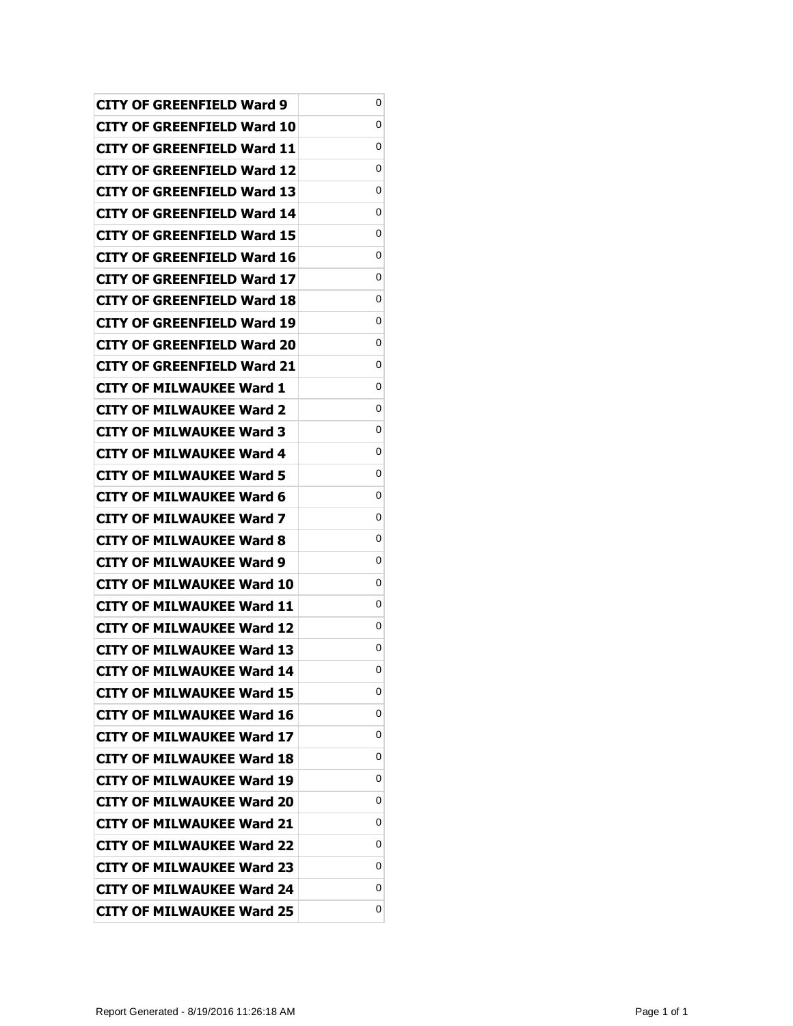| CITY OF GREENFIELD Ward 9         | 0 |
|-----------------------------------|---|
| CITY OF GREENFIELD Ward 10        | 0 |
| CITY OF GREENFIELD Ward 11        | 0 |
| CITY OF GREENFIELD Ward 12        | 0 |
| <b>CITY OF GREENFIELD Ward 13</b> | 0 |
| CITY OF GREENFIELD Ward 14        | 0 |
| CITY OF GREENFIELD Ward 15        | 0 |
| CITY OF GREENFIELD Ward 16        | 0 |
| CITY OF GREENFIELD Ward 17        | 0 |
| CITY OF GREENFIELD Ward 18        | 0 |
| CITY OF GREENFIELD Ward 19        | 0 |
| CITY OF GREENFIELD Ward 20        | 0 |
| CITY OF GREENFIELD Ward 21        | 0 |
| CITY OF MILWAUKEE Ward 1          | 0 |
| <b>CITY OF MILWAUKEE Ward 2</b>   | 0 |
| CITY OF MILWAUKEE Ward 3          | 0 |
| CITY OF MILWAUKEE Ward 4          | 0 |
| <b>CITY OF MILWAUKEE Ward 5</b>   | 0 |
| CITY OF MILWAUKEE Ward 6          | 0 |
| <b>CITY OF MILWAUKEE Ward 7</b>   | 0 |
| <b>CITY OF MILWAUKEE Ward 8</b>   | 0 |
| CITY OF MILWAUKEE Ward 9          | 0 |
| CITY OF MILWAUKEE Ward 10         | 0 |
| CITY OF MILWAUKEE Ward 11         | 0 |
| CITY OF MILWAUKEE Ward 12         | 0 |
| <b>CITY OF MILWAUKEE Ward 13</b>  | 0 |
| <b>CITY OF MILWAUKEE Ward 14</b>  | 0 |
| <b>CITY OF MILWAUKEE Ward 15</b>  | 0 |
| <b>CITY OF MILWAUKEE Ward 16</b>  | 0 |
| <b>CITY OF MILWAUKEE Ward 17</b>  | 0 |
| <b>CITY OF MILWAUKEE Ward 18</b>  | 0 |
| <b>CITY OF MILWAUKEE Ward 19</b>  | 0 |
| <b>CITY OF MILWAUKEE Ward 20</b>  | 0 |
| <b>CITY OF MILWAUKEE Ward 21</b>  | 0 |
| <b>CITY OF MILWAUKEE Ward 22</b>  | 0 |
| <b>CITY OF MILWAUKEE Ward 23</b>  | 0 |
| <b>CITY OF MILWAUKEE Ward 24</b>  | 0 |
| <b>CITY OF MILWAUKEE Ward 25</b>  | 0 |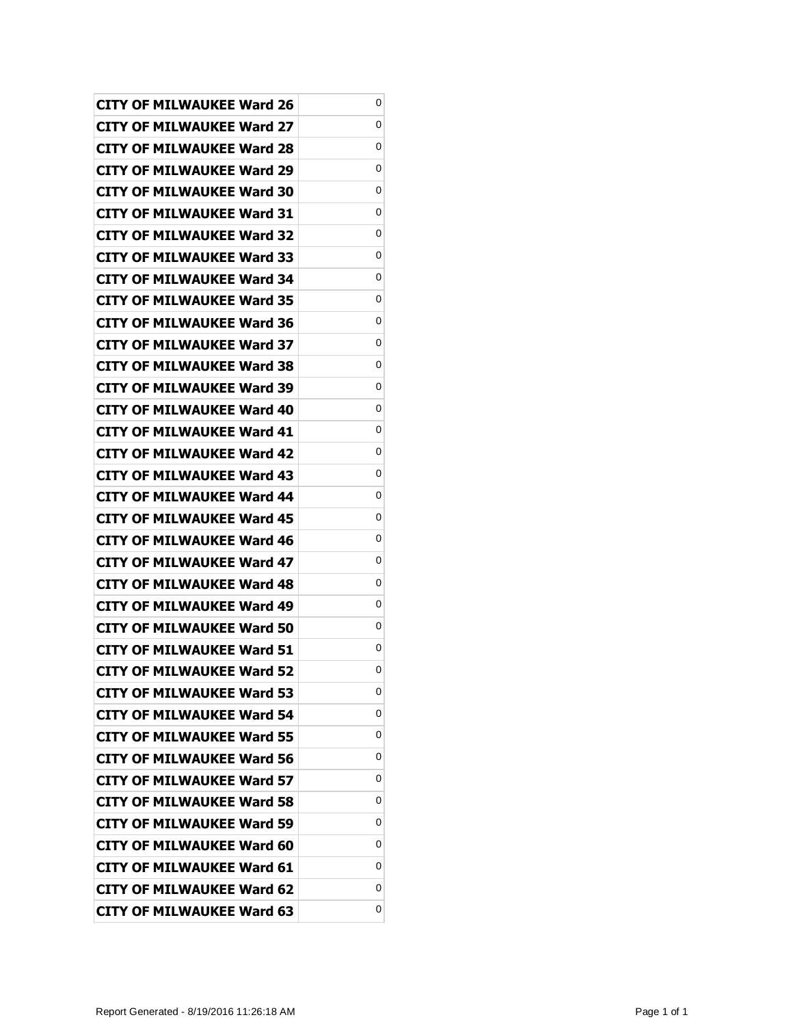| <b>CITY OF MILWAUKEE Ward 26</b> | 0 |
|----------------------------------|---|
| CITY OF MILWAUKEE Ward 27        | 0 |
| <b>CITY OF MILWAUKEE Ward 28</b> | 0 |
| CITY OF MILWAUKEE Ward 29        | 0 |
| <b>CITY OF MILWAUKEE Ward 30</b> | 0 |
| <b>CITY OF MILWAUKEE Ward 31</b> | 0 |
| <b>CITY OF MILWAUKEE Ward 32</b> | 0 |
| <b>CITY OF MILWAUKEE Ward 33</b> | 0 |
| <b>CITY OF MILWAUKEE Ward 34</b> | 0 |
| <b>CITY OF MILWAUKEE Ward 35</b> | 0 |
| <b>CITY OF MILWAUKEE Ward 36</b> | 0 |
| <b>CITY OF MILWAUKEE Ward 37</b> | 0 |
| <b>CITY OF MILWAUKEE Ward 38</b> | 0 |
| <b>CITY OF MILWAUKEE Ward 39</b> | 0 |
| <b>CITY OF MILWAUKEE Ward 40</b> | 0 |
| <b>CITY OF MILWAUKEE Ward 41</b> | 0 |
| CITY OF MILWAUKEE Ward 42        | 0 |
| <b>CITY OF MILWAUKEE Ward 43</b> | 0 |
| <b>CITY OF MILWAUKEE Ward 44</b> | 0 |
| <b>CITY OF MILWAUKEE Ward 45</b> | 0 |
| <b>CITY OF MILWAUKEE Ward 46</b> | 0 |
| <b>CITY OF MILWAUKEE Ward 47</b> | 0 |
| CITY OF MILWAUKEE Ward 48        | 0 |
| <b>CITY OF MILWAUKEE Ward 49</b> | 0 |
| <b>CITY OF MILWAUKEE Ward 50</b> | 0 |
| <b>CITY OF MILWAUKEE Ward 51</b> | 0 |
| <b>CITY OF MILWAUKEE Ward 52</b> | 0 |
| <b>CITY OF MILWAUKEE Ward 53</b> | 0 |
| <b>CITY OF MILWAUKEE Ward 54</b> | 0 |
| <b>CITY OF MILWAUKEE Ward 55</b> | 0 |
| <b>CITY OF MILWAUKEE Ward 56</b> | 0 |
| <b>CITY OF MILWAUKEE Ward 57</b> | 0 |
| <b>CITY OF MILWAUKEE Ward 58</b> | 0 |
| <b>CITY OF MILWAUKEE Ward 59</b> | 0 |
| <b>CITY OF MILWAUKEE Ward 60</b> | 0 |
| <b>CITY OF MILWAUKEE Ward 61</b> | 0 |
| <b>CITY OF MILWAUKEE Ward 62</b> | 0 |
| <b>CITY OF MILWAUKEE Ward 63</b> | 0 |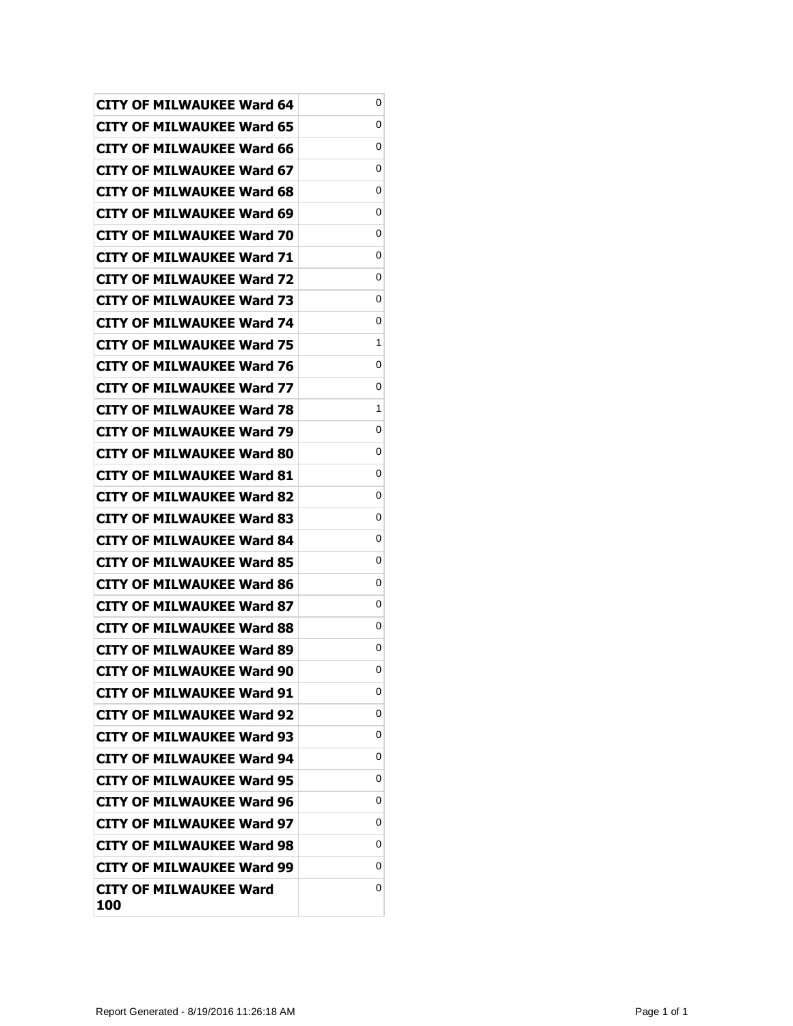| <b>CITY OF MILWAUKEE Ward 64</b> | 0 |
|----------------------------------|---|
| CITY OF MILWAUKEE Ward 65        | 0 |
| CITY OF MILWAUKEE Ward 66        | 0 |
| CITY OF MILWAUKEE Ward 67        | 0 |
| CITY OF MILWAUKEE Ward 68        | 0 |
| CITY OF MILWAUKEE Ward 69        | 0 |
| CITY OF MILWAUKEE Ward 70        | 0 |
| CITY OF MILWAUKEE Ward 71        | 0 |
| <b>CITY OF MILWAUKEE Ward 72</b> | 0 |
| CITY OF MILWAUKEE Ward 73        | 0 |
| <b>CITY OF MILWAUKEE Ward 74</b> | 0 |
| <b>CITY OF MILWAUKEE Ward 75</b> | 1 |
| CITY OF MILWAUKEE Ward 76        | 0 |
| CITY OF MILWAUKEE Ward 77        | 0 |
| <b>CITY OF MILWAUKEE Ward 78</b> | 1 |
| <b>CITY OF MILWAUKEE Ward 79</b> | 0 |
| CITY OF MILWAUKEE Ward 80        | 0 |
| CITY OF MILWAUKEE Ward 81        | 0 |
| CITY OF MILWAUKEE Ward 82        | 0 |
| <b>CITY OF MILWAUKEE Ward 83</b> | 0 |
| <b>CITY OF MILWAUKEE Ward 84</b> | 0 |
| <b>CITY OF MILWAUKEE Ward 85</b> | 0 |
| CITY OF MILWAUKEE Ward 86        | 0 |
| <b>CITY OF MILWAUKEE Ward 87</b> | 0 |
| <b>CITY OF MILWAUKEE Ward 88</b> | 0 |
| CITY OF MILWAUKEE Ward 89        | 0 |
| <b>CITY OF MILWAUKEE Ward 90</b> | 0 |
| <b>CITY OF MILWAUKEE Ward 91</b> | 0 |
| <b>CITY OF MILWAUKEE Ward 92</b> | 0 |
| <b>CITY OF MILWAUKEE Ward 93</b> | 0 |
| <b>CITY OF MILWAUKEE Ward 94</b> | 0 |
| <b>CITY OF MILWAUKEE Ward 95</b> | 0 |
| <b>CITY OF MILWAUKEE Ward 96</b> | 0 |
| <b>CITY OF MILWAUKEE Ward 97</b> | 0 |
| <b>CITY OF MILWAUKEE Ward 98</b> | 0 |
| <b>CITY OF MILWAUKEE Ward 99</b> | 0 |
| CITY OF MILWAUKEE Ward<br>100    | 0 |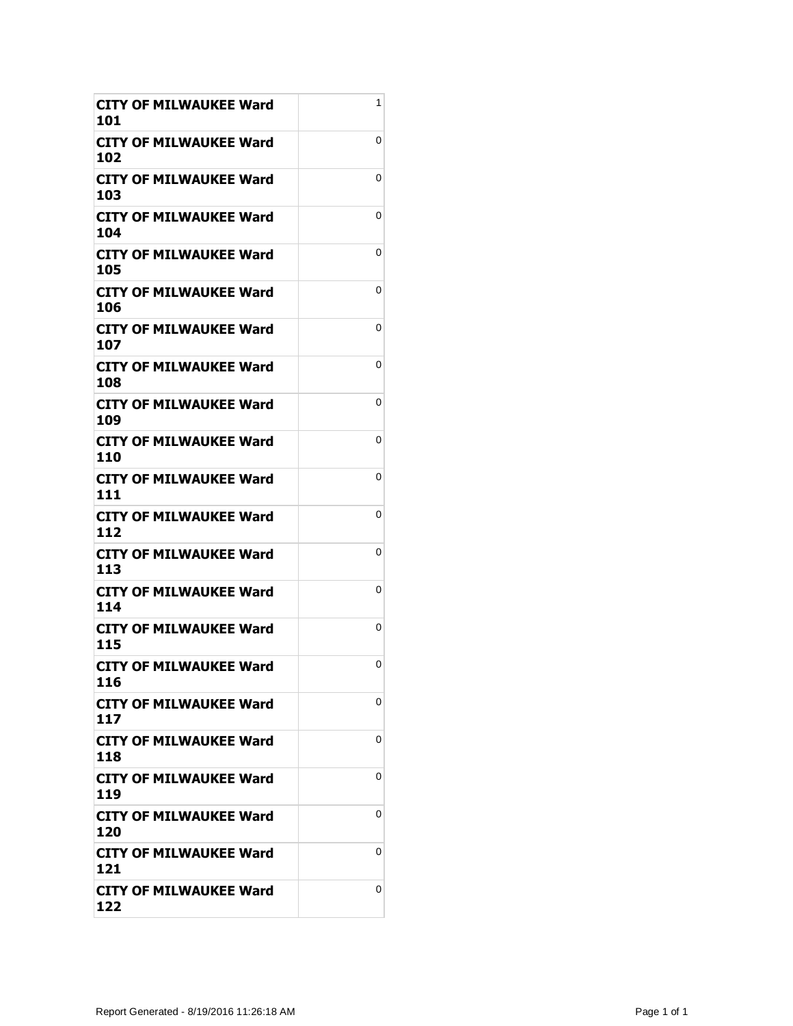| CITY OF MILWAUKEE Ward<br>101        | 1 |
|--------------------------------------|---|
| CITY OF MILWAUKEE Ward<br>102        | 0 |
| CITY OF MILWAUKEE Ward<br>103        | 0 |
| <b>CITY OF MILWAUKEE Ward</b><br>104 | 0 |
| CITY OF MILWAUKEE Ward<br>105        | 0 |
| <b>CITY OF MILWAUKEE Ward</b><br>106 | 0 |
| <b>CITY OF MILWAUKEE Ward</b><br>107 | 0 |
| <b>CITY OF MILWAUKEE Ward</b><br>108 | 0 |
| CITY OF MILWAUKEE Ward<br>109        | 0 |
| CITY OF MILWAUKEE Ward<br>110        | 0 |
| <b>CITY OF MILWAUKEE Ward</b><br>111 | 0 |
| CITY OF MILWAUKEE Ward<br>112        | 0 |
| CITY OF MILWAUKEE Ward<br>113        | 0 |
| CITY OF MILWAUKEE Ward<br>114        | 0 |
| <b>CITY OF MILWAUKEE Ward</b><br>115 | 0 |
| <b>CITY OF MILWAUKEE Ward</b><br>116 | 0 |
| CITY OF MILWAUKEE Ward<br>117        | 0 |
| CITY OF MILWAUKEE Ward<br>118        | 0 |
| <b>CITY OF MILWAUKEE Ward</b><br>119 | 0 |
| CITY OF MILWAUKEE Ward<br>120        | 0 |
| <b>CITY OF MILWAUKEE Ward</b><br>121 | 0 |
| <b>CITY OF MILWAUKEE Ward</b><br>122 | 0 |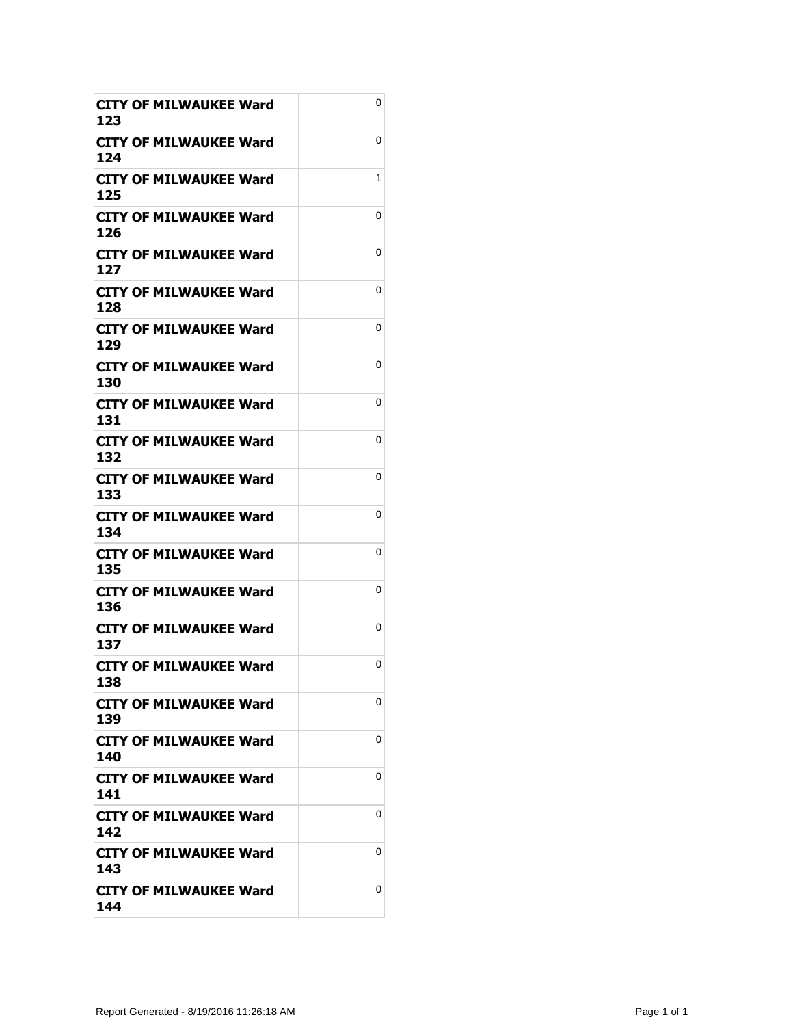| <b>CITY OF MILWAUKEE Ward</b><br>123 | 0 |
|--------------------------------------|---|
| CITY OF MILWAUKEE Ward<br>124        | 0 |
| CITY OF MILWAUKEE Ward<br>125        | 1 |
| <b>CITY OF MILWAUKEE Ward</b><br>126 | 0 |
| CITY OF MILWAUKEE Ward<br>127        | 0 |
| CITY OF MILWAUKEE Ward<br>128        | 0 |
| <b>CITY OF MILWAUKEE Ward</b><br>129 | 0 |
| <b>CITY OF MILWAUKEE Ward</b><br>130 | 0 |
| CITY OF MILWAUKEE Ward<br>131        | 0 |
| CITY OF MILWAUKEE Ward<br>132        | 0 |
| <b>CITY OF MILWAUKEE Ward</b><br>133 | 0 |
| CITY OF MILWAUKEE Ward<br>134        | 0 |
| <b>CITY OF MILWAUKEE Ward</b><br>135 | 0 |
| CITY OF MILWAUKEE Ward<br>136        | 0 |
| CITY OF MILWAUKEE Ward<br>137        | 0 |
| <b>CITY OF MILWAUKEE Ward</b><br>138 | 0 |
| CITY OF MILWAUKEE Ward<br>139        | 0 |
| <b>CITY OF MILWAUKEE Ward</b><br>140 | 0 |
| <b>CITY OF MILWAUKEE Ward</b><br>141 | 0 |
| CITY OF MILWAUKEE Ward<br>142        | 0 |
| <b>CITY OF MILWAUKEE Ward</b><br>143 | 0 |
| <b>CITY OF MILWAUKEE Ward</b><br>144 | 0 |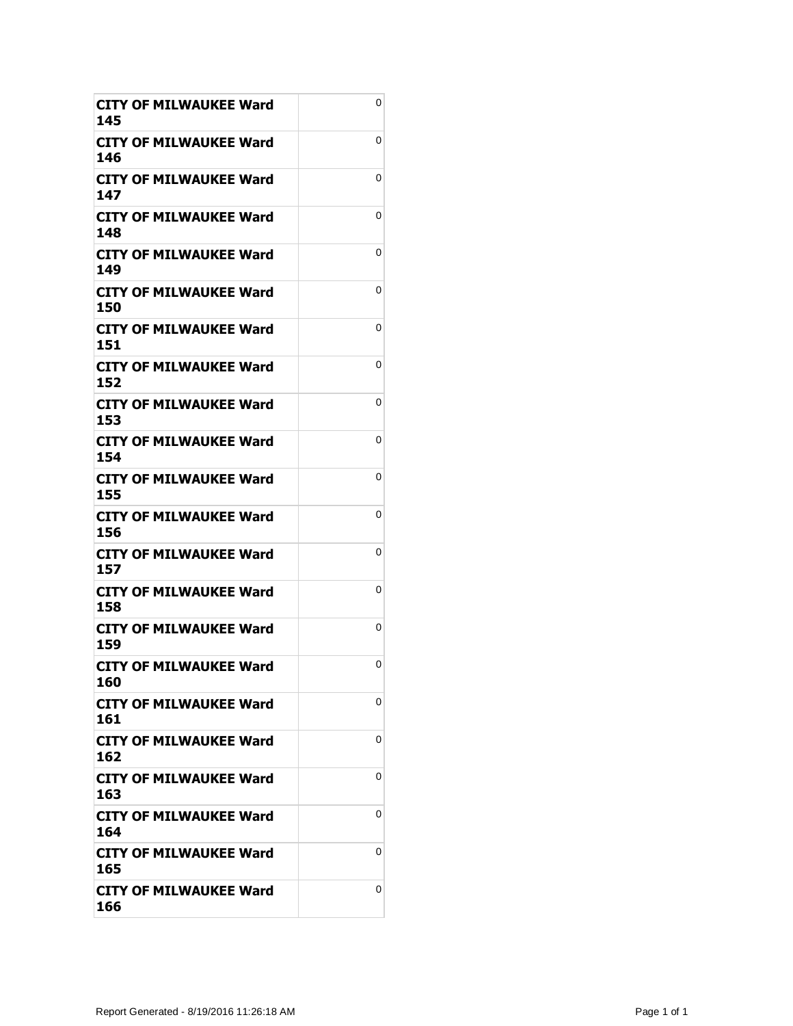| CITY OF MILWAUKEE Ward<br>145        | 0 |
|--------------------------------------|---|
| CITY OF MILWAUKEE Ward<br>146        | 0 |
| CITY OF MILWAUKEE Ward<br>147        | 0 |
| <b>CITY OF MILWAUKEE Ward</b><br>148 | 0 |
| <b>CITY OF MILWAUKEE Ward</b><br>149 | 0 |
| CITY OF MILWAUKEE Ward<br>150        | 0 |
| CITY OF MILWAUKEE Ward<br>151        | 0 |
| <b>CITY OF MILWAUKEE Ward</b><br>152 | 0 |
| CITY OF MILWAUKEE Ward<br>153        | 0 |
| <b>CITY OF MILWAUKEE Ward</b><br>154 | 0 |
| <b>CITY OF MILWAUKEE Ward</b><br>155 | 0 |
| <b>CITY OF MILWAUKEE Ward</b><br>156 | 0 |
| <b>CITY OF MILWAUKEE Ward</b><br>157 | 0 |
| CITY OF MILWAUKEE Ward<br>158        | 0 |
| <b>CITY OF MILWAUKEE Ward</b><br>159 | 0 |
| <b>CITY OF MILWAUKEE Ward</b><br>160 | 0 |
| CITY OF MILWAUKEE Ward<br>161        | 0 |
| <b>CITY OF MILWAUKEE Ward</b><br>162 | 0 |
| <b>CITY OF MILWAUKEE Ward</b><br>163 | 0 |
| CITY OF MILWAUKEE Ward<br>164        | 0 |
| <b>CITY OF MILWAUKEE Ward</b><br>165 | 0 |
| <b>CITY OF MILWAUKEE Ward</b><br>166 | 0 |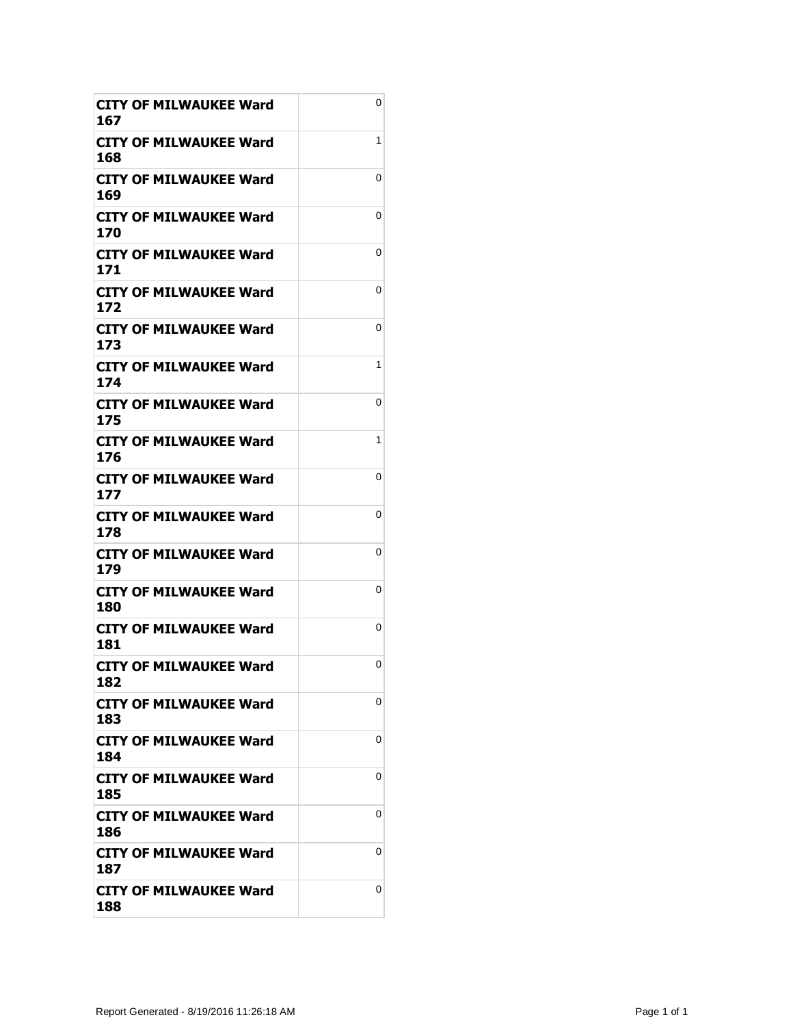| CITY OF MILWAUKEE Ward<br>167        | 0 |
|--------------------------------------|---|
| CITY OF MILWAUKEE Ward<br>168        | 1 |
| CITY OF MILWAUKEE Ward<br>169        | 0 |
| <b>CITY OF MILWAUKEE Ward</b><br>170 | 0 |
| <b>CITY OF MILWAUKEE Ward</b><br>171 | 0 |
| <b>CITY OF MILWAUKEE Ward</b><br>172 | 0 |
| <b>CITY OF MILWAUKEE Ward</b><br>173 | 0 |
| <b>CITY OF MILWAUKEE Ward</b><br>174 | 1 |
| CITY OF MILWAUKEE Ward<br>175        | 0 |
| <b>CITY OF MILWAUKEE Ward</b><br>176 | 1 |
| <b>CITY OF MILWAUKEE Ward</b><br>177 | 0 |
| CITY OF MILWAUKEE Ward<br>178        | 0 |
| CITY OF MILWAUKEE Ward<br>179        | 0 |
| CITY OF MILWAUKEE Ward<br>180        | 0 |
| <b>CITY OF MILWAUKEE Ward</b><br>181 | 0 |
| <b>CITY OF MILWAUKEE Ward</b><br>182 | 0 |
| CITY OF MILWAUKEE Ward<br>183        | 0 |
| <b>CITY OF MILWAUKEE Ward</b><br>184 | 0 |
| <b>CITY OF MILWAUKEE Ward</b><br>185 | 0 |
| CITY OF MILWAUKEE Ward<br>186        | 0 |
| <b>CITY OF MILWAUKEE Ward</b><br>187 | 0 |
| <b>CITY OF MILWAUKEE Ward</b><br>188 | 0 |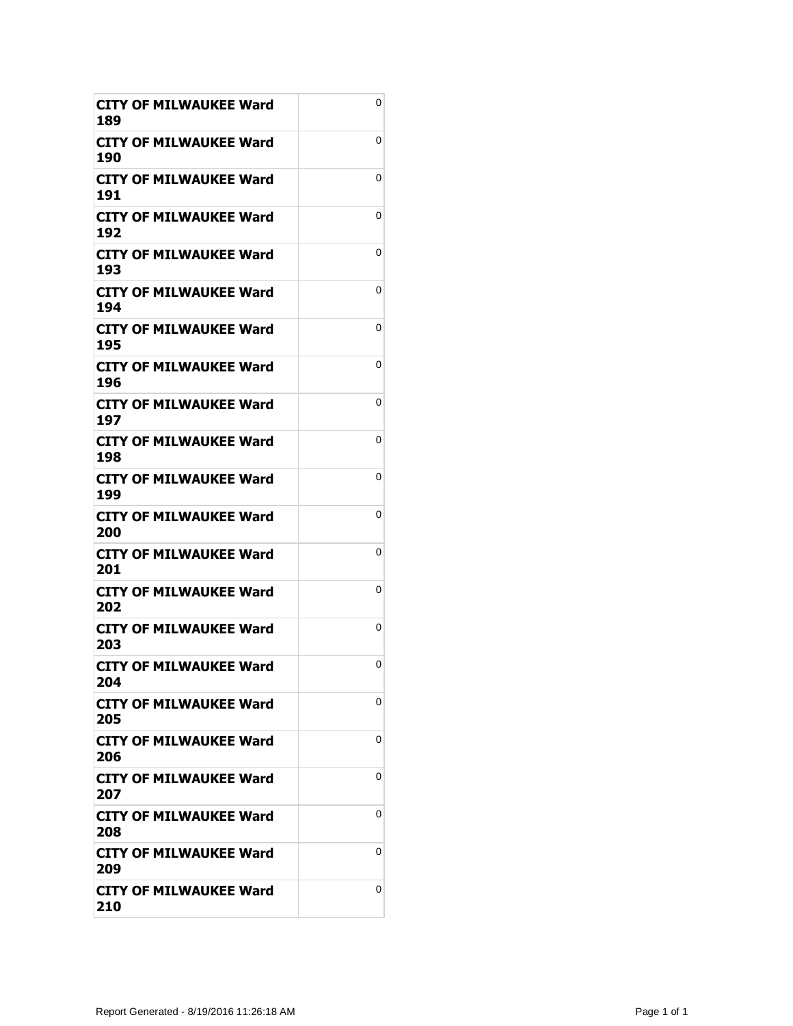| <b>CITY OF MILWAUKEE Ward</b><br>189 | 0 |
|--------------------------------------|---|
| <b>CITY OF MILWAUKEE Ward</b><br>190 | 0 |
| CITY OF MILWAUKEE Ward<br>191        | 0 |
| <b>CITY OF MILWAUKEE Ward</b><br>192 | 0 |
| <b>CITY OF MILWAUKEE Ward</b><br>193 | 0 |
| <b>CITY OF MILWAUKEE Ward</b><br>194 | 0 |
| CITY OF MILWAUKEE Ward<br>195        | 0 |
| CITY OF MILWAUKEE Ward<br>196        | 0 |
| CITY OF MILWAUKEE Ward<br>197        | 0 |
| <b>CITY OF MILWAUKEE Ward</b><br>198 | 0 |
| <b>CITY OF MILWAUKEE Ward</b><br>199 | 0 |
| CITY OF MILWAUKEE Ward<br>200        | 0 |
| <b>CITY OF MILWAUKEE Ward</b><br>201 | 0 |
| CITY OF MILWAUKEE Ward<br>202        | 0 |
| <b>CITY OF MILWAUKEE Ward</b><br>203 | 0 |
| <b>CITY OF MILWAUKEE Ward</b><br>204 | 0 |
| <b>CITY OF MILWAUKEE Ward</b><br>205 | 0 |
| CITY OF MILWAUKEE Ward<br>206        | 0 |
| <b>CITY OF MILWAUKEE Ward</b><br>207 | 0 |
| <b>CITY OF MILWAUKEE Ward</b><br>208 | 0 |
| CITY OF MILWAUKEE Ward<br>209        | 0 |
| CITY OF MILWAUKEE Ward<br>210        | 0 |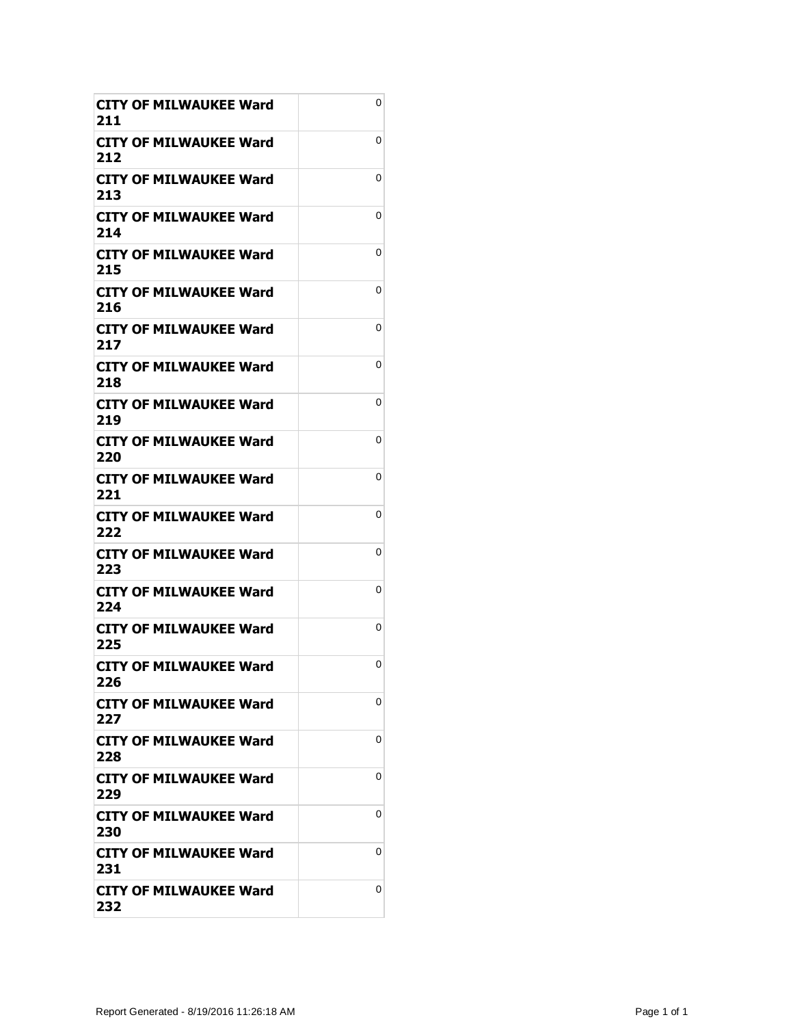| CITY OF MILWAUKEE Ward<br>211        | 0 |
|--------------------------------------|---|
| CITY OF MILWAUKEE Ward<br>212        | 0 |
| CITY OF MILWAUKEE Ward<br>213        | 0 |
| <b>CITY OF MILWAUKEE Ward</b><br>214 | 0 |
| CITY OF MILWAUKEE Ward<br>215        | 0 |
| <b>CITY OF MILWAUKEE Ward</b><br>216 | 0 |
| CITY OF MILWAUKEE Ward<br>217        | 0 |
| <b>CITY OF MILWAUKEE Ward</b><br>218 | 0 |
| CITY OF MILWAUKEE Ward<br>219        | 0 |
| CITY OF MILWAUKEE Ward<br>220        | 0 |
| <b>CITY OF MILWAUKEE Ward</b><br>221 | 0 |
| CITY OF MILWAUKEE Ward<br>222        | 0 |
| CITY OF MILWAUKEE Ward<br>223        | 0 |
| CITY OF MILWAUKEE Ward<br>224        | 0 |
| <b>CITY OF MILWAUKEE Ward</b><br>225 | 0 |
| <b>CITY OF MILWAUKEE Ward</b><br>226 | 0 |
| <b>CITY OF MILWAUKEE Ward</b><br>227 | 0 |
| CITY OF MILWAUKEE Ward<br>228        | 0 |
| <b>CITY OF MILWAUKEE Ward</b><br>229 | 0 |
| CITY OF MILWAUKEE Ward<br>230        | 0 |
| <b>CITY OF MILWAUKEE Ward</b><br>231 | 0 |
| <b>CITY OF MILWAUKEE Ward</b><br>232 | 0 |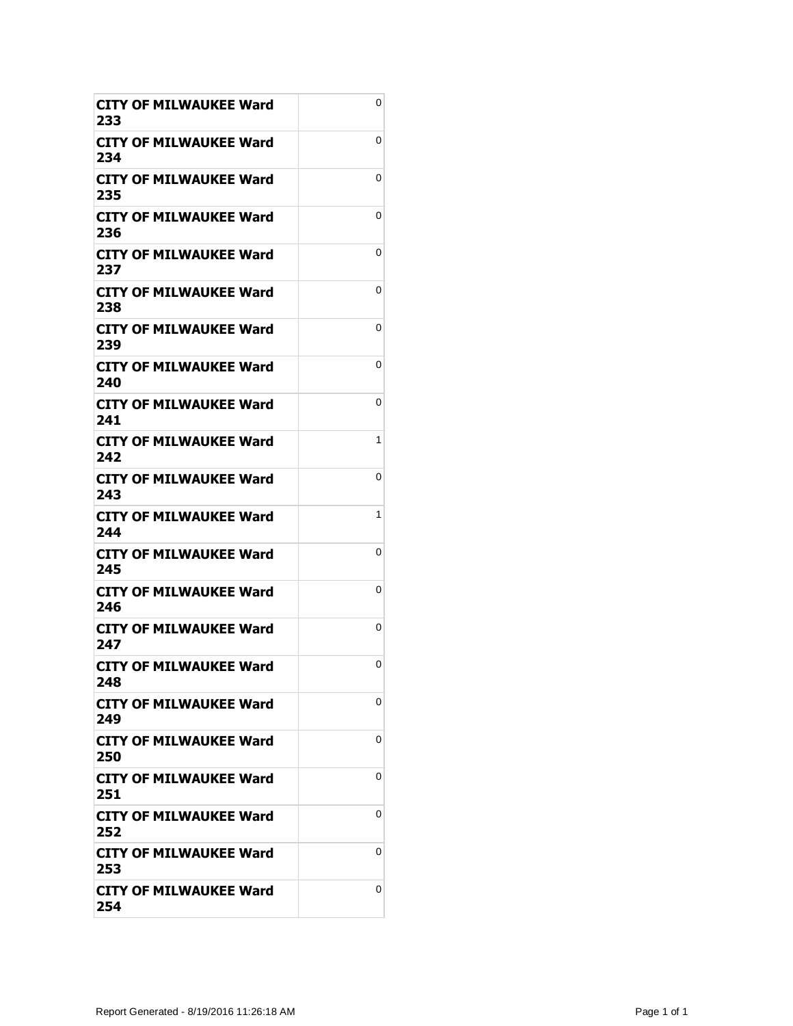| CITY OF MILWAUKEE Ward<br>233        | 0 |
|--------------------------------------|---|
| CITY OF MILWAUKEE Ward<br>234        | 0 |
| CITY OF MILWAUKEE Ward<br>235        | 0 |
| <b>CITY OF MILWAUKEE Ward</b><br>236 | 0 |
| CITY OF MILWAUKEE Ward<br>237        | 0 |
| CITY OF MILWAUKEE Ward<br>238        | 0 |
| <b>CITY OF MILWAUKEE Ward</b><br>239 | 0 |
| <b>CITY OF MILWAUKEE Ward</b><br>240 | 0 |
| CITY OF MILWAUKEE Ward<br>241        | 0 |
| CITY OF MILWAUKEE Ward<br>242        | 1 |
| <b>CITY OF MILWAUKEE Ward</b><br>243 | 0 |
| CITY OF MILWAUKEE Ward<br>244        | 1 |
| CITY OF MILWAUKEE Ward<br>245        | 0 |
| CITY OF MILWAUKEE Ward<br>246        | 0 |
| <b>CITY OF MILWAUKEE Ward</b><br>247 | 0 |
| <b>CITY OF MILWAUKEE Ward</b><br>248 | 0 |
| CITY OF MILWAUKEE Ward<br>249        | 0 |
| CITY OF MILWAUKEE Ward<br>250        | 0 |
| <b>CITY OF MILWAUKEE Ward</b><br>251 | 0 |
| CITY OF MILWAUKEE Ward<br>252        | 0 |
| <b>CITY OF MILWAUKEE Ward</b><br>253 | 0 |
| <b>CITY OF MILWAUKEE Ward</b><br>254 | 0 |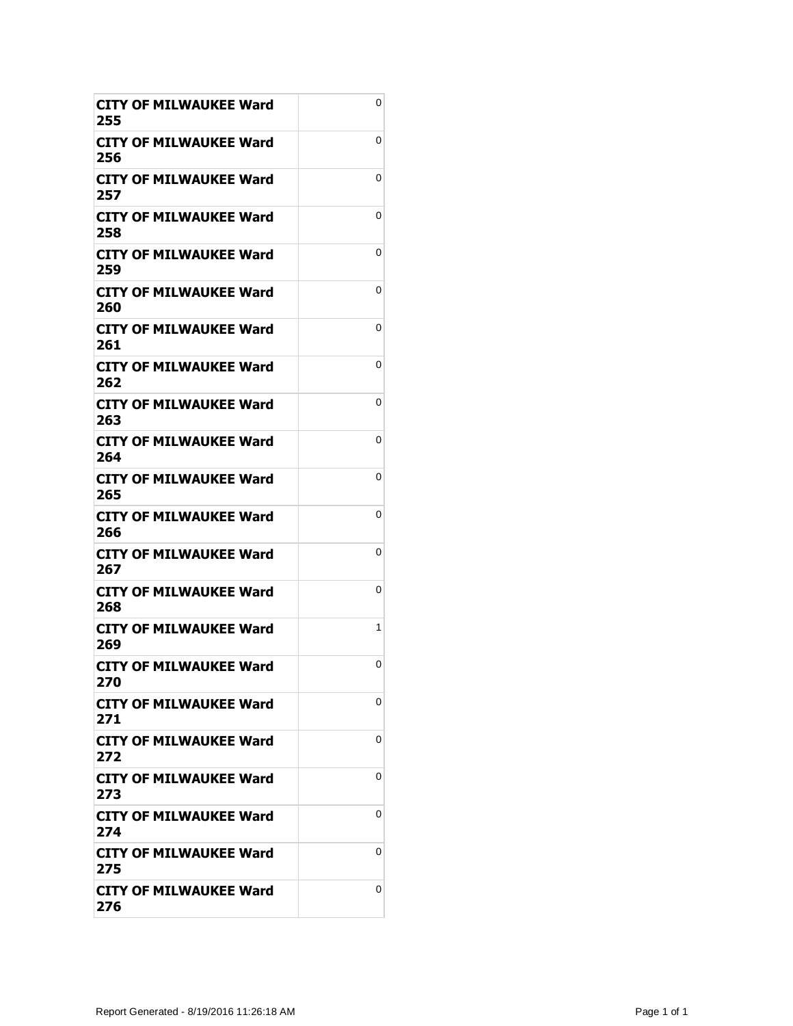| CITY OF MILWAUKEE Ward<br>255        | 0 |
|--------------------------------------|---|
| CITY OF MILWAUKEE Ward<br>256        | 0 |
| CITY OF MILWAUKEE Ward<br>257        | 0 |
| <b>CITY OF MILWAUKEE Ward</b><br>258 | 0 |
| CITY OF MILWAUKEE Ward<br>259        | 0 |
| CITY OF MILWAUKEE Ward<br>260        | 0 |
| <b>CITY OF MILWAUKEE Ward</b><br>261 | 0 |
| <b>CITY OF MILWAUKEE Ward</b><br>262 | 0 |
| CITY OF MILWAUKEE Ward<br>263        | 0 |
| CITY OF MILWAUKEE Ward<br>264        | 0 |
| <b>CITY OF MILWAUKEE Ward</b><br>265 | 0 |
| CITY OF MILWAUKEE Ward<br>266        | 0 |
| CITY OF MILWAUKEE Ward<br>267        | 0 |
| CITY OF MILWAUKEE Ward<br>268        | 0 |
| <b>CITY OF MILWAUKEE Ward</b><br>269 | 1 |
| <b>CITY OF MILWAUKEE Ward</b><br>270 | 0 |
| CITY OF MILWAUKEE Ward<br>271        | 0 |
| <b>CITY OF MILWAUKEE Ward</b><br>272 | 0 |
| <b>CITY OF MILWAUKEE Ward</b><br>273 | 0 |
| CITY OF MILWAUKEE Ward<br>274        | 0 |
| <b>CITY OF MILWAUKEE Ward</b><br>275 | 0 |
| <b>CITY OF MILWAUKEE Ward</b><br>276 | 0 |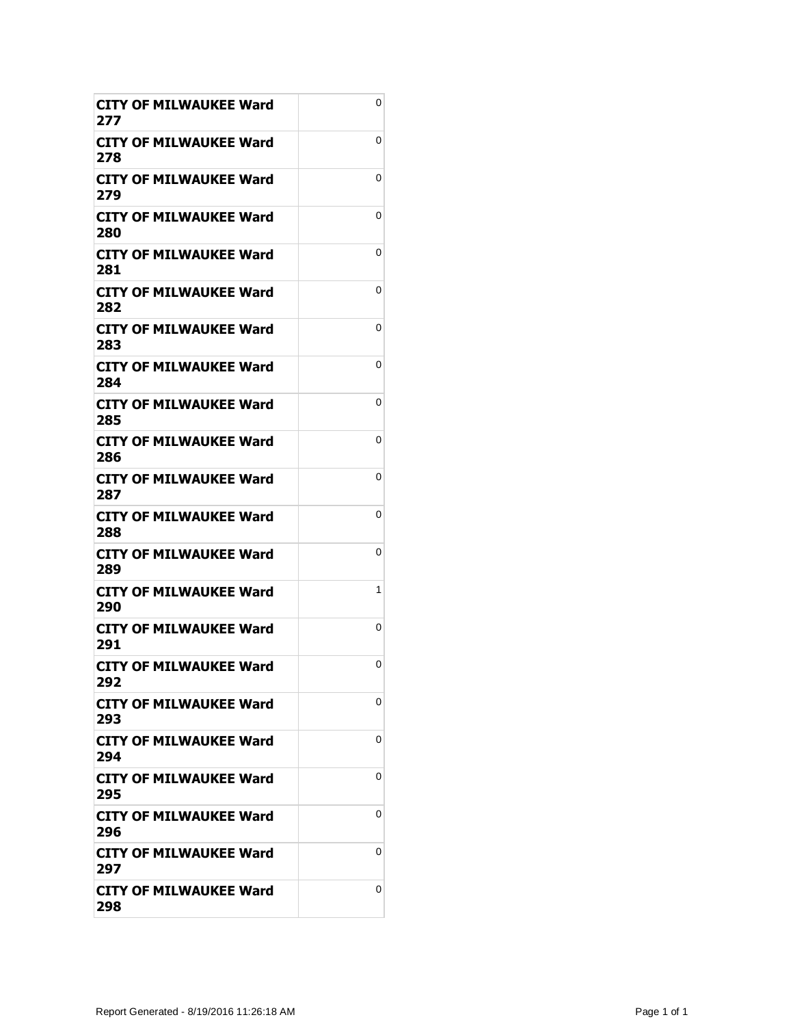| CITY OF MILWAUKEE Ward<br>277        | 0 |
|--------------------------------------|---|
| CITY OF MILWAUKEE Ward<br>278        | 0 |
| CITY OF MILWAUKEE Ward<br>279        | 0 |
| <b>CITY OF MILWAUKEE Ward</b><br>280 | 0 |
| CITY OF MILWAUKEE Ward<br>281        | 0 |
| CITY OF MILWAUKEE Ward<br>282        | 0 |
| CITY OF MILWAUKEE Ward<br>283        | 0 |
| <b>CITY OF MILWAUKEE Ward</b><br>284 | 0 |
| CITY OF MILWAUKEE Ward<br>285        | 0 |
| CITY OF MILWAUKEE Ward<br>286        | 0 |
| <b>CITY OF MILWAUKEE Ward</b><br>287 | 0 |
| CITY OF MILWAUKEE Ward<br>288        | 0 |
| <b>CITY OF MILWAUKEE Ward</b><br>289 | 0 |
| CITY OF MILWAUKEE Ward<br>290        | 1 |
| <b>CITY OF MILWAUKEE Ward</b><br>291 | 0 |
| <b>CITY OF MILWAUKEE Ward</b><br>292 | 0 |
| CITY OF MILWAUKEE Ward<br>293        | 0 |
| CITY OF MILWAUKEE Ward<br>294        | 0 |
| <b>CITY OF MILWAUKEE Ward</b><br>295 | 0 |
| CITY OF MILWAUKEE Ward<br>296        | 0 |
| <b>CITY OF MILWAUKEE Ward</b><br>297 | 0 |
| <b>CITY OF MILWAUKEE Ward</b><br>298 | 0 |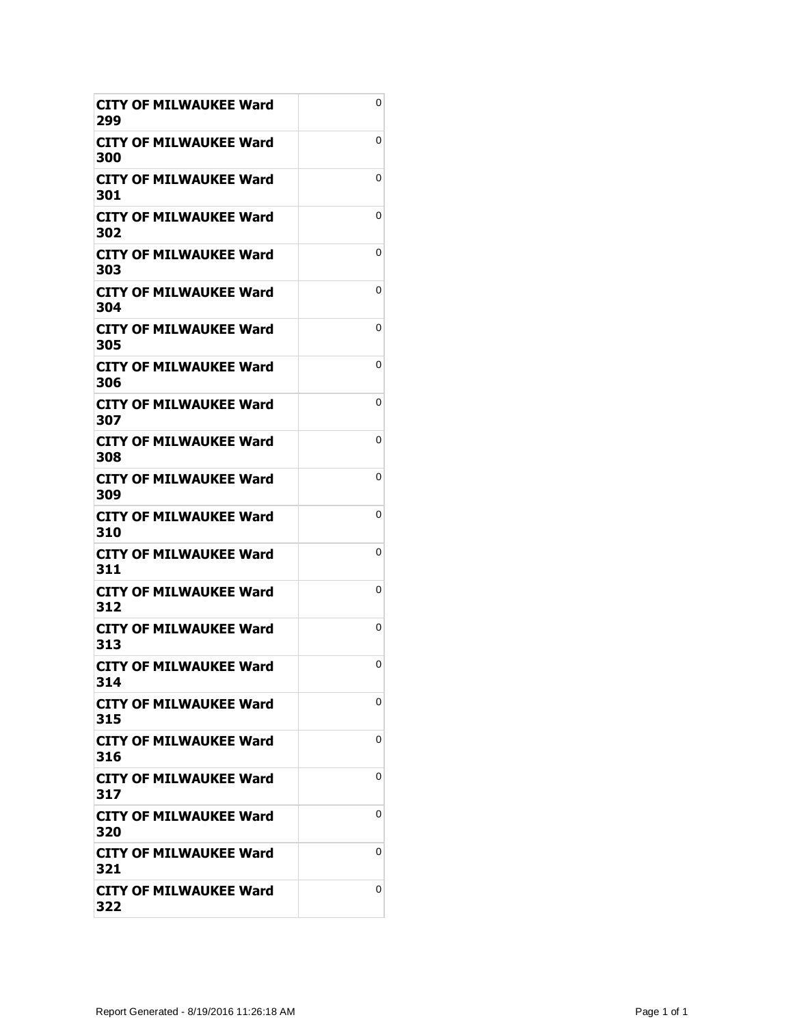| CITY OF MILWAUKEE Ward<br>299        | 0 |
|--------------------------------------|---|
| CITY OF MILWAUKEE Ward<br>300        | 0 |
| CITY OF MILWAUKEE Ward<br>301        | 0 |
| <b>CITY OF MILWAUKEE Ward</b><br>302 | 0 |
| CITY OF MILWAUKEE Ward<br>303        | 0 |
| <b>CITY OF MILWAUKEE Ward</b><br>304 | 0 |
| CITY OF MILWAUKEE Ward<br>305        | 0 |
| <b>CITY OF MILWAUKEE Ward</b><br>306 | 0 |
| CITY OF MILWAUKEE Ward<br>307        | 0 |
| CITY OF MILWAUKEE Ward<br>308        | 0 |
| <b>CITY OF MILWAUKEE Ward</b><br>309 | 0 |
| CITY OF MILWAUKEE Ward<br>310        | 0 |
| <b>CITY OF MILWAUKEE Ward</b><br>311 | 0 |
| CITY OF MILWAUKEE Ward<br>312        | 0 |
| <b>CITY OF MILWAUKEE Ward</b><br>313 | 0 |
| <b>CITY OF MILWAUKEE Ward</b><br>314 | 0 |
| CITY OF MILWAUKEE Ward<br>315        | 0 |
| CITY OF MILWAUKEE Ward<br>316        | 0 |
| <b>CITY OF MILWAUKEE Ward</b><br>317 | 0 |
| CITY OF MILWAUKEE Ward<br>320        | 0 |
| <b>CITY OF MILWAUKEE Ward</b><br>321 | 0 |
| <b>CITY OF MILWAUKEE Ward</b><br>322 | 0 |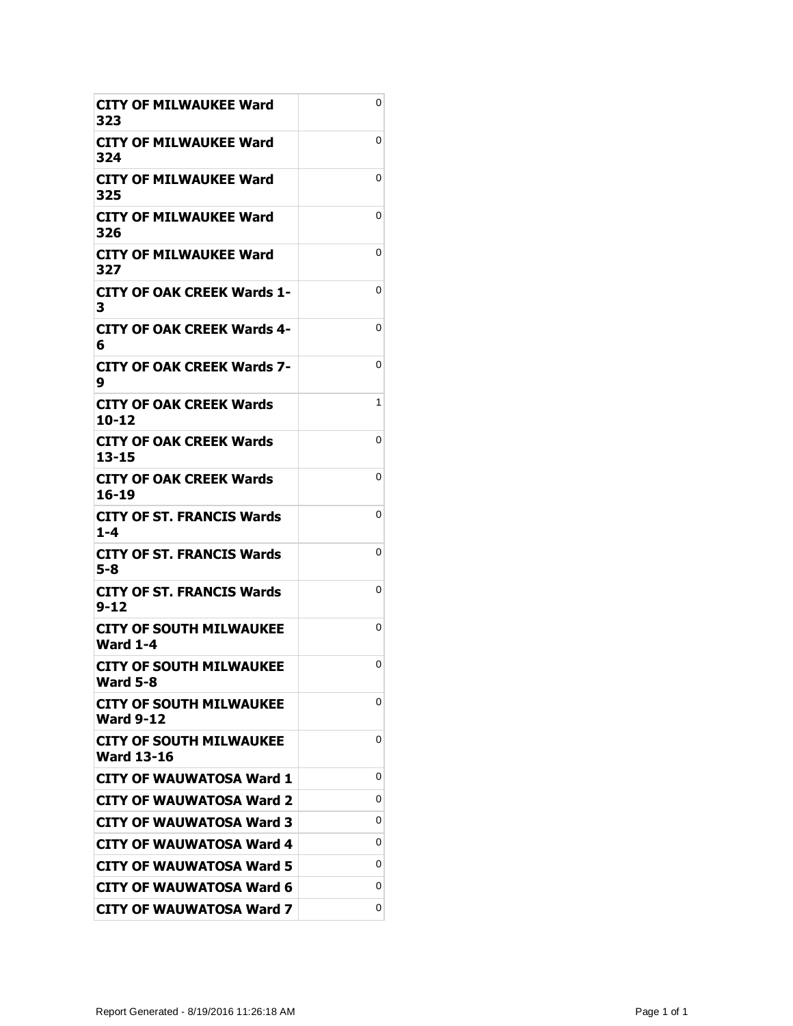| CITY OF MILWAUKEE Ward<br>323                       | 0 |
|-----------------------------------------------------|---|
| <b>CITY OF MILWAUKEE Ward</b><br>324                | 0 |
| CITY OF MILWAUKEE Ward<br>325                       | 0 |
| <b>CITY OF MILWAUKEE Ward</b><br>326                | 0 |
| <b>CITY OF MILWAUKEE Ward</b><br>327                | 0 |
| <b>CITY OF OAK CREEK Wards 1-</b><br>3              | 0 |
| CITY OF OAK CREEK Wards 4-<br>6                     | 0 |
| <b>CITY OF OAK CREEK Wards 7-</b><br>9              | 0 |
| CITY OF OAK CREEK Wards<br>10-12                    | 1 |
| CITY OF OAK CREEK Wards<br>$13 - 15$                | 0 |
| <b>CITY OF OAK CREEK Wards</b><br>16-19             | 0 |
| <b>CITY OF ST. FRANCIS Wards</b><br>$1 - 4$         | 0 |
| <b>CITY OF ST. FRANCIS Wards</b><br>5-8             | 0 |
| CITY OF ST. FRANCIS Wards<br>$9 - 12$               | 0 |
| <b>CITY OF SOUTH MILWAUKEE</b><br><b>Ward 1-4</b>   | 0 |
| <b>CITY OF SOUTH MILWAUKEE</b><br><b>Ward 5-8</b>   | 0 |
| <b>CITY OF SOUTH MILWAUKEE</b><br><b>Ward 9-12</b>  | 0 |
|                                                     |   |
| <b>CITY OF SOUTH MILWAUKEE</b><br><b>Ward 13-16</b> | 0 |
| <b>CITY OF WAUWATOSA Ward 1</b>                     | 0 |
| <b>CITY OF WAUWATOSA Ward 2</b>                     | 0 |
| CITY OF WAUWATOSA Ward 3                            | 0 |
| <b>CITY OF WAUWATOSA Ward 4</b>                     | 0 |
| <b>CITY OF WAUWATOSA Ward 5</b>                     | 0 |
| <b>CITY OF WAUWATOSA Ward 6</b>                     | 0 |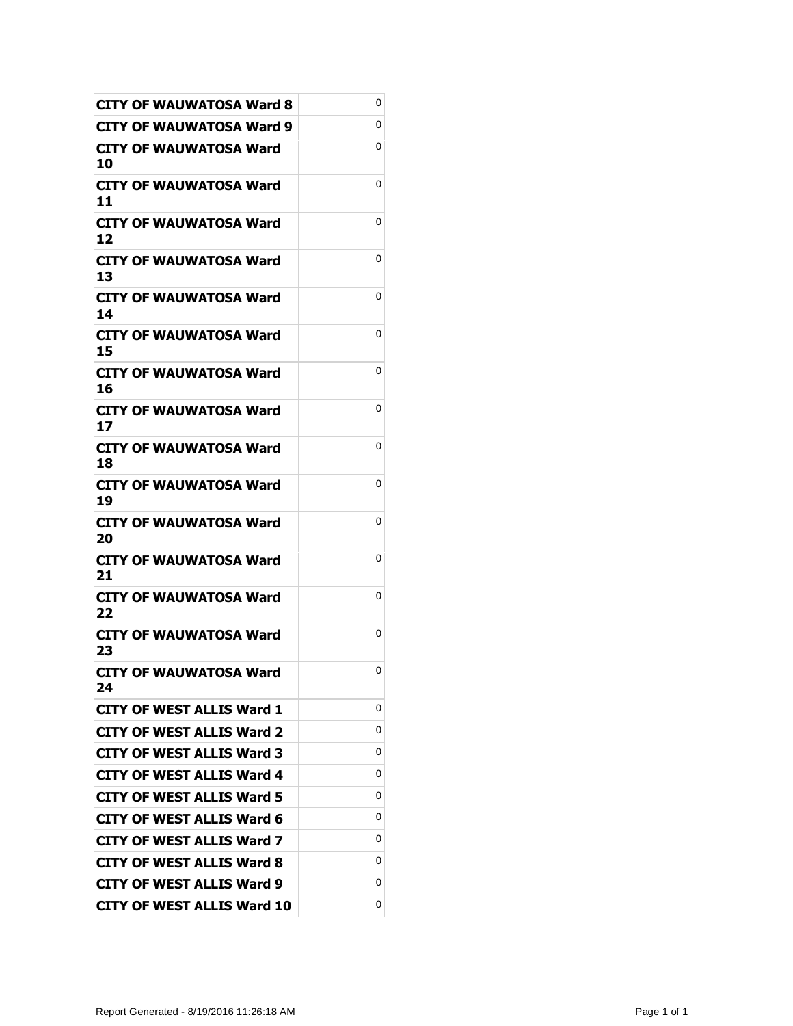| <b>CITY OF WAUWATOSA Ward 8</b>     | 0 |
|-------------------------------------|---|
| CITY OF WAUWATOSA Ward 9            | 0 |
| CITY OF WAUWATOSA Ward<br>10        | 0 |
| <b>CITY OF WAUWATOSA Ward</b><br>11 | 0 |
| CITY OF WAUWATOSA Ward<br>12        | 0 |
| <b>CITY OF WAUWATOSA Ward</b><br>13 | 0 |
| CITY OF WAUWATOSA Ward<br>14        | 0 |
| CITY OF WAUWATOSA Ward<br>15        | 0 |
| CITY OF WAUWATOSA Ward<br>16        | 0 |
| CITY OF WAUWATOSA Ward<br>17        | 0 |
| CITY OF WAUWATOSA Ward<br>18        | 0 |
| CITY OF WAUWATOSA Ward<br>19        | 0 |
| <b>CITY OF WAUWATOSA Ward</b><br>20 | 0 |
| CITY OF WAUWATOSA Ward<br>21        | 0 |
| <b>CITY OF WAUWATOSA Ward</b><br>22 | 0 |
| <b>CITY OF WAUWATOSA Ward</b><br>23 | 0 |
| <b>CITY OF WAUWATOSA Ward</b><br>24 | 0 |
| <b>CITY OF WEST ALLIS Ward 1</b>    | 0 |
| <b>CITY OF WEST ALLIS Ward 2</b>    | 0 |
| <b>CITY OF WEST ALLIS Ward 3</b>    | 0 |
| <b>CITY OF WEST ALLIS Ward 4</b>    | 0 |
| <b>CITY OF WEST ALLIS Ward 5</b>    | 0 |
| <b>CITY OF WEST ALLIS Ward 6</b>    | 0 |
| <b>CITY OF WEST ALLIS Ward 7</b>    | 0 |
| <b>CITY OF WEST ALLIS Ward 8</b>    | 0 |
| <b>CITY OF WEST ALLIS Ward 9</b>    | 0 |
| <b>CITY OF WEST ALLIS Ward 10</b>   | 0 |